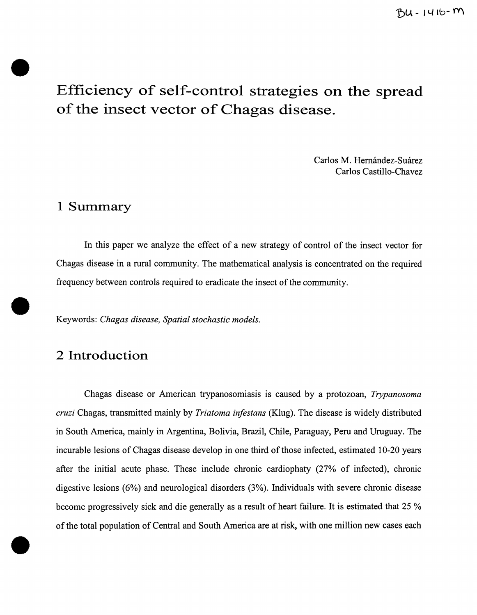# **Efficiency of self-control strategies on the spread of the insect vector of Chagas disease.**

Carlos M. Hernández-Suárez Carlos Castillo-Chavez

## **1 Summary**

•

•

•

In this paper we analyze the effect of a new strategy of control of the insect vector for Chagas disease in a rural community. The mathematical analysis is concentrated on the required frequency between controls required to eradicate the insect of the community .

Keywords: *Chagas disease, Spatial stochastic models.* 

## 2 **Introduction**

Chagas disease or American trypanosomiasis is caused by a protozoan, *Trypanosoma cruzi* Chagas, transmitted mainly by *Triatoma infestans* (Klug). The disease is widely distributed in South America, mainly in Argentina, Bolivia, Brazil, Chile, Paraguay, Peru and Uruguay. The incurable lesions of Chagas disease develop in one third of those infected, estimated 10-20 years after the initial acute phase. These include chronic cardiophaty (27% of infected), chronic digestive lesions (6%) and neurological disorders (3%). Individuals with severe chronic disease become progressively sick and die generally as a result of heart failure. It is estimated that 25 % of the total population of Central and South America are at risk, with one million new cases each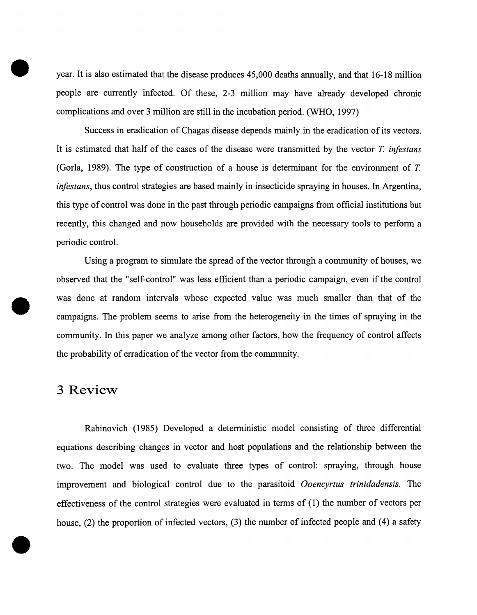year. It is also estimated that the disease produces 45,000 deaths annually, and that 16-18 million people are currently infected. Of these, 2-3 million may have already developed chronic complications and over 3 million are still in the incubation period. (WHO, 1997)

Success in eradication of Chagas disease depends mainly in the eradication of its vectors. It is estimated that half of the cases of the disease were transmitted by the vector *T. infestans*  (Gorla, 1989). The type of construction of a house is determinant for the environment of *T. infestans,* thus control strategies are based mainly in insecticide spraying in houses. In Argentina, this type of control was done in the past through periodic campaigns from official institutions but recently, this changed and now households are provided with the necessary tools to perform a periodic control.

Using a program to simulate the spread of the vector through a community of houses, we observed that the "self-control" was less efficient than a periodic campaign, even if the control was done at random intervals whose expected value was much smaller than that of the campaigns. The problem seems to arise from the heterogeneity in the times of spraying in the community. In this paper we analyze among other factors, how the frequency of control affects the probability of erradication of the vector from the community.

### **3 Review**

•

•

•

Rabinovich (1985) Developed a deterministic model consisting of three differential equations describing changes in vector and host populations and the relationship between the two. The model was used to evaluate three types of control: spraying, through house improvement and biological control due to the parasitoid *Ooencyrtus trinidadensis.* The effectiveness of the control strategies were evaluated in terms of (1) the number of vectors per house,  $(2)$  the proportion of infected vectors,  $(3)$  the number of infected people and  $(4)$  a safety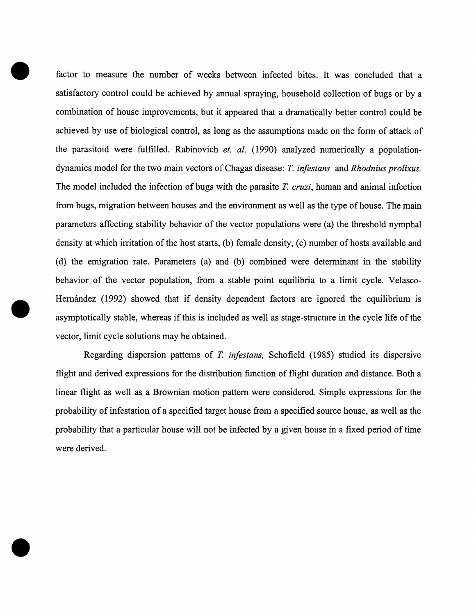factor to measure the number of weeks between infected bites. It was concluded that a satisfactory control could be achieved by annual spraying, household collection of bugs or by a combination of house improvements, but it appeared that a dramatically better control could be achieved by use of biological control, as long as the assumptions made on the form of attack of the parasitoid were fulfilled. Rabinovich *et. a/.* (1990) analyzed numerically a populationdynamics model for the two main vectors of Chagas disease: *T. infestans* and *Rhodnius prolixus.*  The model included the infection of bugs with the parasite *T. cruzi,* human and animal infection from bugs, migration between houses and the environment as well as the type of house. The main parameters affecting stability behavior of the vector populations were (a) the threshold nymphal density at which irritation of the host starts, (b) female density, (c) number of hosts available and (d) the emigration rate. Parameters (a) and (b) combined were determinant in the stability behavior of the vector population, from a stable point equilibria to a limit cycle. Velasco- Hernández (1992) showed that if density dependent factors are ignored the equilibrium is asymptotically stable, whereas if this is included as well as stage-structure in the cycle life of the vector, limit cycle solutions may be obtained.

Regarding dispersion patterns of *T. infestans,* Schofield (1985) studied its dispersive flight and derived expressions for the distribution function of flight duration and distance. Both a linear flight as well as a Brownian motion pattern were considered. Simple expressions for the probability of infestation of a specified target house from a specified source house, as well as the probability that a particular house will not be infected by a given house in a fixed period of time were derived.

•

•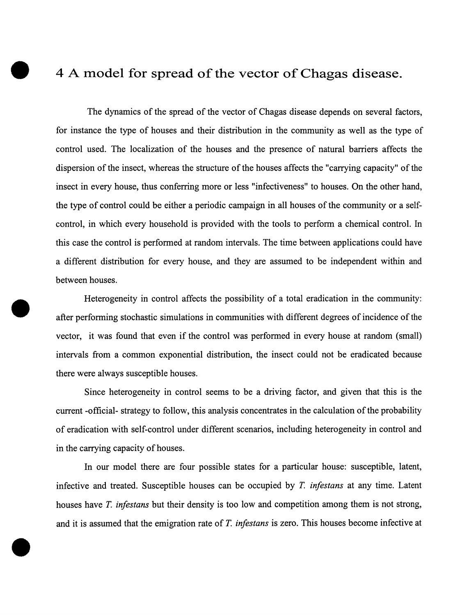## • **4 A model for spread ofthe vector ofChagas disease.**

The dynamics of the spread of the vector of Chagas disease depends on several factors, for instance the type of houses and their distribution in the community as well as the type of control used. The localization of the houses and the presence of natural barriers affects the dispersion of the insect, whereas the structure of the houses affects the "carrying capacity" of the insect in every house, thus conferring more or less "infectiveness" to houses. On the other hand, the type of control could be either a periodic campaign in all houses of the community or a selfcontrol, in which every household is provided with the tools to perform a chemical control. In this case the control is performed at random intervals. The time between applications could have a different distribution for every house, and they are assumed to be independent within and between houses.

Heterogeneity in control affects the possibility of a total eradication in the community: after performing stochastic simulations in communities with different degrees of incidence of the vector, it was found that even if the control was performed in every house at random (small) intervals from a common exponential distribution, the insect could not be eradicated because there were always susceptible houses.

•

•

Since heterogeneity in control seems to be a driving factor, and given that this is the current -official- strategy to follow, this analysis concentrates in the calculation of the probability of eradication with self-control under different scenarios, including heterogeneity in control and in the carrying capacity of houses.

In our model there are four possible states for a particular house: susceptible, latent, infective and treated. Susceptible houses can be occupied by *T. infestans* at any time. Latent houses have *T. infestans* but their density is too low and competition among them is not strong, and it is assumed that the emigration rate of T. *infestans* is zero. This houses become infective at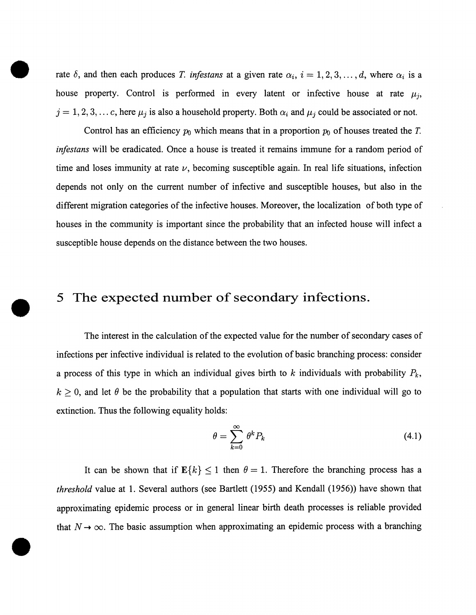rate  $\delta$ , and then each produces *T. infestans* at a given rate  $\alpha_i$ ,  $i = 1, 2, 3, ..., d$ , where  $\alpha_i$  is a house property. Control is performed in every latent or infective house at rate  $\mu_j$ ,  $j = 1, 2, 3, \dots c$ , here  $\mu_j$  is also a household property. Both  $\alpha_i$  and  $\mu_j$  could be associated or not.

•

•

•

Control has an efficiency  $p_0$  which means that in a proportion  $p_0$  of houses treated the T. *infestans* will be eradicated. Once a house is treated it remains immune for a random period of time and loses immunity at rate  $\nu$ , becoming susceptible again. In real life situations, infection depends not only on the current number of infective and susceptible houses, but also in the different migration categories of the infective houses. Moreover, the localization of both type of houses in the community is important since the probability that an infected house will infect a susceptible house depends on the distance between the two houses.

### **5 The expected number of secondary infections .**

The interest in the calculation of the expected value for the number of secondary cases of infections per infective individual is related to the evolution of basic branching process: consider a process of this type in which an individual gives birth to *k* individuals with probability *Pk.*   $k \geq 0$ , and let  $\theta$  be the probability that a population that starts with one individual will go to extinction. Thus the following equality holds:

$$
\theta = \sum_{k=0}^{\infty} \theta^k P_k \tag{4.1}
$$

It can be shown that if  $\mathbf{E}\{k\} \leq 1$  then  $\theta = 1$ . Therefore the branching process has a *threshold* value at 1. Several authors (see Bartlett (1955) and Kendall (1956)) have shown that approximating epidemic process or in general linear birth death processes is reliable provided that  $N \rightarrow \infty$ . The basic assumption when approximating an epidemic process with a branching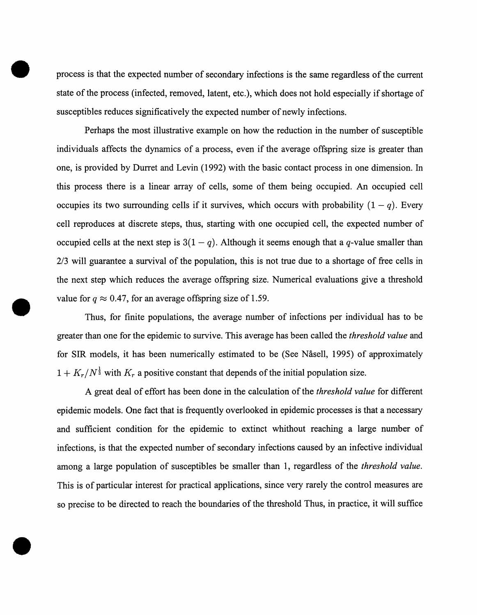process is that the expected number of secondary infections is the same regardless of the current state of the process (infected, removed, latent, etc.), which does not hold especially if shortage of susceptibles reduces significatively the expected number of newly infections.

•

•

•

Perhaps the most illustrative example on how the reduction in the number of susceptible individuals affects the dynamics of a process, even if the average offspring size is greater than one, is provided by Durret and Levin (1992) with the basic contact process in one dimension. In this process there is a linear array of cells, some of them being occupied. An occupied cell occupies its two surrounding cells if it survives, which occurs with probability  $(1 - q)$ . Every cell reproduces at discrete steps, thus, starting with one occupied cell, the expected number of occupied cells at the next step is  $3(1 - q)$ . Although it seems enough that a q-value smaller than 2/3 will guarantee a survival of the population, this is not true due to a shortage of free cells in the next step which reduces the average offspring size. Numerical evaluations give a threshold value for  $q \approx 0.47$ , for an average offspring size of 1.59.

Thus, for finite populations, the average number of infections per individual has to be greater than one for the epidemic to survive. This average has been called the *threshold value* and for SIR models, it has been numerically estimated to be (See Nåsell, 1995) of approximately  $1 + K_r/N^{\frac{1}{3}}$  with  $K_r$  a positive constant that depends of the initial population size.

A great deal of effort has been done in the calculation of the *threshold value* for different epidemic models. One fact that is frequently overlooked in epidemic processes is that a necessary and sufficient condition for the epidemic to extinct whithout reaching a large number of infections, is that the expected number of secondary infections caused by an infective individual among a large population of susceptibles be smaller than 1, regardless of the *threshold value.*  This is of particular interest for practical applications, since very rarely the control measures are so precise to be directed to reach the boundaries of the threshold Thus, in practice, it will suffice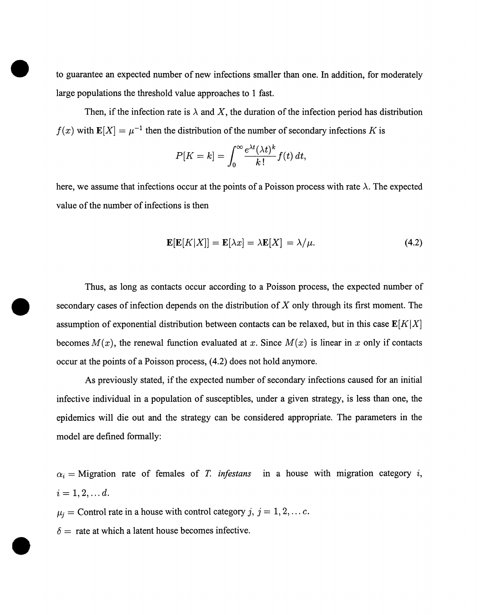• to guarantee an expected number of new infections smaller than one. In addition, for moderately large populations the threshold value approaches to 1 fast.

Then, if the infection rate is  $\lambda$  and X, the duration of the infection period has distribution  $f(x)$  with  $\mathbf{E}[X] = \mu^{-1}$  then the distribution of the number of secondary infections K is

$$
P[K = k] = \int_0^\infty \frac{e^{\lambda t} (\lambda t)^k}{k!} f(t) dt,
$$

here, we assume that infections occur at the points of a Poisson process with rate  $\lambda$ . The expected value of the number of infections is then

$$
\mathbf{E}[\mathbf{E}[K|X]] = \mathbf{E}[\lambda x] = \lambda \mathbf{E}[X] = \lambda/\mu.
$$
 (4.2)

Thus, as long as contacts occur according to a Poisson process, the expected number of • secondary cases of infection depends on the distribution of *X* only through its first moment. The assumption of exponential distribution between contacts can be relaxed, but in this case  $\mathbf{E}[K|X]$ becomes  $M(x)$ , the renewal function evaluated at x. Since  $M(x)$  is linear in x only if contacts occur at the points of a Poisson process, ( 4.2) does not hold anymore.

As previously stated, if the expected number of secondary infections caused for an initial infective individual in a population of susceptibles, under a given strategy, is less than one, the epidemics will die out and the strategy can be considered appropriate. The parameters in the model are defined formally:

 $\alpha_i$  = Migration rate of females of T. *infestans* in a house with migration category *i*,  $i = 1, 2, \ldots d$ .

 $\mu_j$  = Control rate in a house with control category j,  $j = 1, 2, \dots c$ .

 $\delta$  = rate at which a latent house becomes infective.

•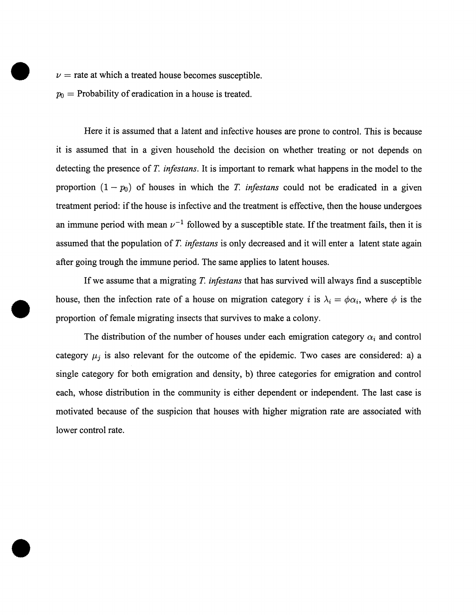$\nu$  = rate at which a treated house becomes susceptible.

 $p_0$  = Probability of eradication in a house is treated.

•

•

Here it is assumed that a latent and infective houses are prone to control. This is because it is assumed that in a given household the decision on whether treating or not depends on detecting the presence ofT. *infestans.* It is important to remark what happens in the model to the proportion  $(1 - p_0)$  of houses in which the T. *infestans* could not be eradicated in a given treatment period: if the house is infective and the treatment is effective, then the house undergoes an immune period with mean  $\nu^{-1}$  followed by a susceptible state. If the treatment fails, then it is assumed that the population of T. *infestans* is only decreased and it will enter a latent state again after going trough the immune period. The same applies to latent houses.

If we assume that a migrating T. *infestans* that has survived will always find a susceptible house, then the infection rate of a house on migration category i is  $\lambda_i = \phi \alpha_i$ , where  $\phi$  is the proportion of female migrating insects that survives to make a colony.

The distribution of the number of houses under each emigration category  $\alpha_i$  and control category  $\mu_j$  is also relevant for the outcome of the epidemic. Two cases are considered: a) a single category for both emigration and density, b) three categories for emigration and control each, whose distribution in the community is either dependent or independent. The last case is motivated because of the suspicion that houses with higher migration rate are associated with lower control rate.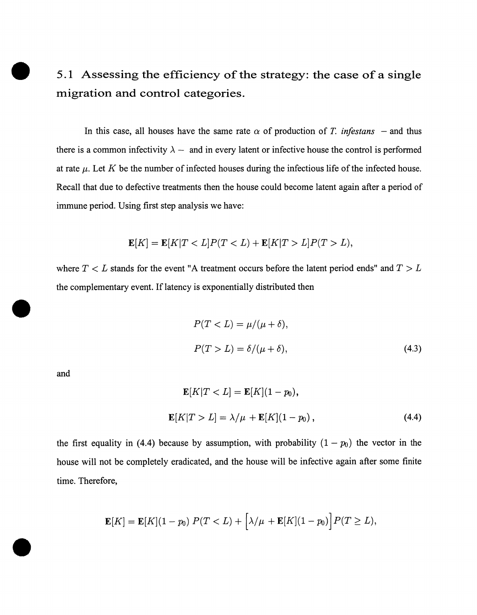## 5.1 Assessing the efficiency of the strategy: the case of a single migration and control categories.

In this case, all houses have the same rate  $\alpha$  of production of *T. infestans* – and thus there is a common infectivity  $\lambda$  – and in every latent or infective house the control is performed at rate  $\mu$ . Let K be the number of infected houses during the infectious life of the infected house. Recall that due to defective treatments then the house could become latent again after a period of immune period. Using first step analysis we have:

$$
\mathbf{E}[K] = \mathbf{E}[K|T < L]P(T < L) + \mathbf{E}[K|T > L]P(T > L),
$$

where  $T < L$  stands for the event "A treatment occurs before the latent period ends" and  $T > L$ the complementary event. If latency is exponentially distributed then

$$
P(T < L) = \mu/(\mu + \delta),
$$
\n
$$
P(T > L) = \delta/(\mu + \delta),
$$
\n
$$
(4.3)
$$

and

•

•

$$
\mathbf{E}[K|T < L] = \mathbf{E}[K](1 - p_0),
$$
\n
$$
\mathbf{E}[K|T > L] = \lambda/\mu + \mathbf{E}[K](1 - p_0), \tag{4.4}
$$

the first equality in (4.4) because by assumption, with probability  $(1-p_0)$  the vector in the house will not be completely eradicated, and the house will be infective again after some finite time. Therefore,

$$
\mathbf{E}[K] = \mathbf{E}[K](1-p_0) P(T < L) + \left[\lambda/\mu + \mathbf{E}[K](1-p_0)\right] P(T \geq L),
$$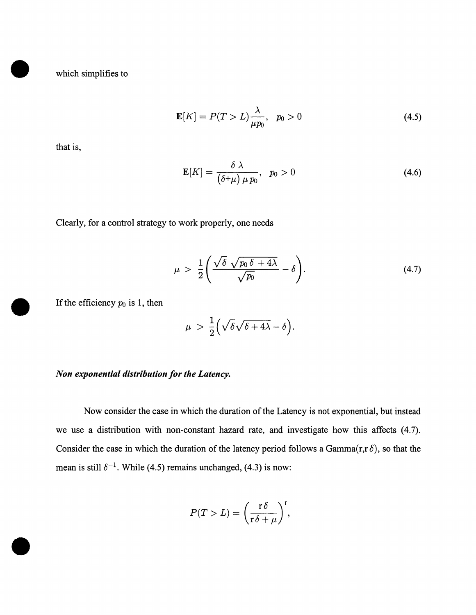which simplifies to

$$
\mathbf{E}[K] = P(T > L) \frac{\lambda}{\mu p_0}, \quad p_0 > 0 \tag{4.5}
$$

that is,

•

$$
\mathbf{E}[K] = \frac{\delta \lambda}{(\delta + \mu) \mu p_0}, \quad p_0 > 0 \tag{4.6}
$$

Clearly, for a control strategy to work properly, one needs

$$
\mu > \frac{1}{2} \left( \frac{\sqrt{\delta} \sqrt{p_0 \delta + 4\lambda}}{\sqrt{p_0}} - \delta \right).
$$
 (4.7)

If the efficiency  $p_0$  is 1, then

$$
\mu > \frac{1}{2} \Big( \sqrt{\delta} \sqrt{\delta + 4\lambda} - \delta \Big).
$$

#### *Non exponential distribution for the Latency.*

Now consider the case in which the duration of the Latency is not exponential, but instead we use a distribution with non-constant hazard rate, and investigate how this affects (4.7). Consider the case in which the duration of the latency period follows a Gamma $(r, r \delta)$ , so that the mean is still  $\delta^{-1}$ . While (4.5) remains unchanged, (4.3) is now:

$$
P(T > L) = \left(\frac{\mathbf{r}\,\delta}{\mathbf{r}\,\delta + \mu}\right)^{\mathbf{r}},
$$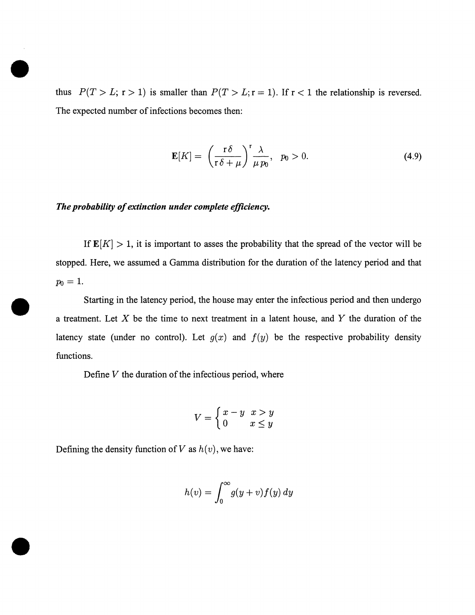thus  $P(T > L; r > 1)$  is smaller than  $P(T > L; r = 1)$ . If  $r < 1$  the relationship is reversed. The expected number of infections becomes then:

$$
\mathbf{E}[K] = \left(\frac{r\delta}{r\delta + \mu}\right)^{r} \frac{\lambda}{\mu p_0}, \quad p_0 > 0.
$$
 (4.9)

#### *The probability of extinction under complete efficiency.*

•

•

•

If  $\mathbf{E}[K] > 1$ , it is important to asses the probability that the spread of the vector will be stopped. Here, we assumed a Gamma distribution for the duration of the latency period and that  $p_0=1$ .

Starting in the latency period, the house may enter the infectious period and then undergo a treatment. Let  $X$  be the time to next treatment in a latent house, and  $Y$  the duration of the latency state (under no control). Let  $g(x)$  and  $f(y)$  be the respective probability density functions.

Define  $V$  the duration of the infectious period, where

$$
V = \begin{cases} x - y & x > y \\ 0 & x \le y \end{cases}
$$

Defining the density function of V as  $h(v)$ , we have:

$$
h(v) = \int_0^\infty g(y+v) f(y) \, dy
$$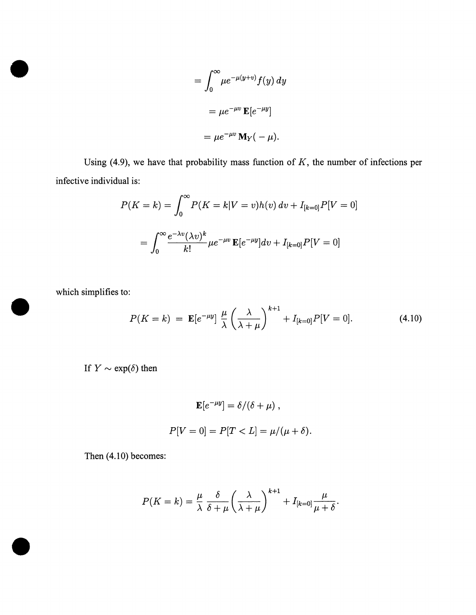$$
= \int_0^\infty \mu e^{-\mu(y+v)} f(y) dy
$$

$$
= \mu e^{-\mu v} \mathbf{E} [e^{-\mu y}]
$$

$$
= \mu e^{-\mu v} \mathbf{M}_Y (-\mu).
$$

Using (4.9), we have that probability mass function of  $K$ , the number of infections per infective individual is:

$$
P(K = k) = \int_0^\infty P(K = k | V = v) h(v) \, dv + I_{[k=0]} P[V = 0]
$$
\n
$$
= \int_0^\infty \frac{e^{-\lambda v} (\lambda v)^k}{k!} \mu e^{-\mu v} \mathbf{E}[e^{-\mu y}] dv + I_{[k=0]} P[V = 0]
$$

which simplifies to:

•

•

which simplifies to:  
\n
$$
P(K = k) = \mathbb{E}[e^{-\mu y}] \frac{\mu}{\lambda} \left(\frac{\lambda}{\lambda + \mu}\right)^{k+1} + I_{[k=0]} P[V = 0]. \tag{4.10}
$$

If  $Y \sim \exp(\delta)$  then

$$
\mathbf{E}[e^{-\mu y}] = \delta/(\delta + \mu) ,
$$
  

$$
P[V = 0] = P[T < L] = \mu/(\mu + \delta).
$$

Then (4.10) becomes:

$$
P(K = k) = \frac{\mu}{\lambda} \frac{\delta}{\delta + \mu} \left(\frac{\lambda}{\lambda + \mu}\right)^{k+1} + I_{[k=0]} \frac{\mu}{\mu + \delta}.
$$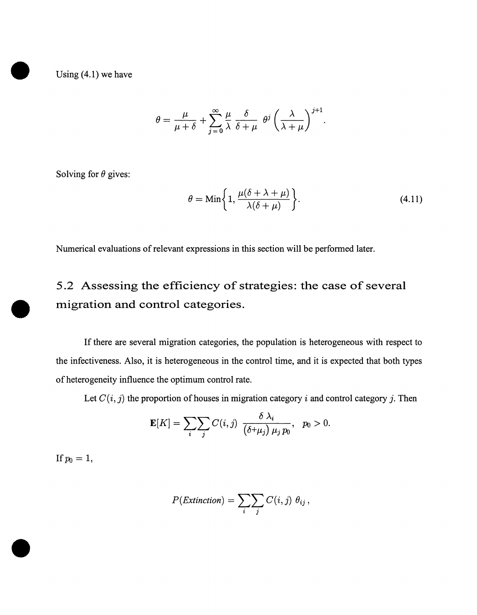Using  $(4.1)$  we have

$$
\theta = \frac{\mu}{\mu + \delta} + \sum_{j=0}^{\infty} \frac{\mu}{\lambda} \frac{\delta}{\delta + \mu} \theta^{j} \left(\frac{\lambda}{\lambda + \mu}\right)^{j+1}.
$$

Solving for  $\theta$  gives:

$$
\theta = \min\left\{1, \frac{\mu(\delta + \lambda + \mu)}{\lambda(\delta + \mu)}\right\}.
$$
\n(4.11)

Numerical evaluations of relevant expressions in this section will be performed later.

## 5 .2 Assessing the efficiency of strategies: the case of several • migration and control categories.

If there are several migration categories, the population is heterogeneous with respect to the infectiveness. Also, it is heterogeneous in the control time, and it is expected that both types of heterogeneity influence the optimum control rate.

Let  $C(i, j)$  the proportion of houses in migration category i and control category j. Then

$$
\mathbf{E}[K] = \sum_{i} \sum_{j} C(i,j) \frac{\delta \lambda_i}{(\delta + \mu_j) \mu_j p_0}, \quad p_0 > 0.
$$

If  $p_0 = 1$ ,

•

$$
P(Extinction) = \sum_{i} \sum_{j} C(i, j) \theta_{ij},
$$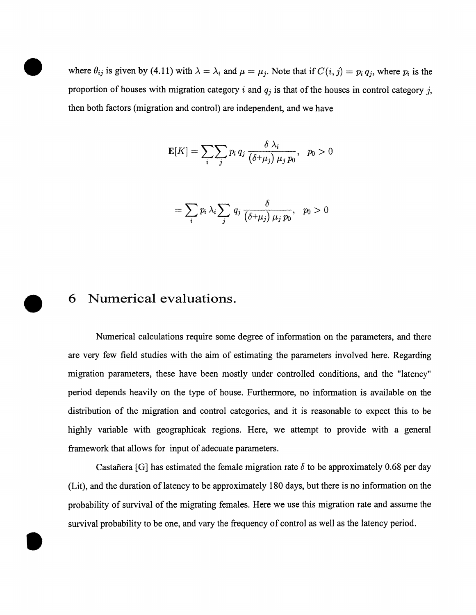where  $\theta_{ij}$  is given by (4.11) with  $\lambda = \lambda_i$  and  $\mu = \mu_j$ . Note that if  $C(i, j) = p_i q_j$ , where  $p_i$  is the proportion of houses with migration category i and  $q_i$  is that of the houses in control category j, then both factors (migration and control) are independent, and we have

$$
\mathbf{E}[K] = \sum_{i} \sum_{j} p_i q_j \frac{\delta \lambda_i}{(\delta + \mu_j) \mu_j p_0}, \quad p_0 > 0
$$

$$
= \sum_{i} p_i \lambda_i \sum_{j} q_j \frac{\delta}{(\delta + \mu_j) \mu_j p_0}, \quad p_0 > 0
$$

## **6 Numerical evaluations .**

•

•

Numerical calculations require some degree of information on the parameters, and there are very few field studies with the aim of estimating the parameters involved here. Regarding migration parameters, these have been mostly under controlled conditions, and the "latency" period depends heavily on the type of house. Furthermore, no information is available on the distribution of the migration and control categories, and it is reasonable to expect this to be highly variable with geographicak regions. Here, we attempt to provide with a general framework that allows for input of adecuate parameters.

Castafiera [G] has estimated the female migration rate  $\delta$  to be approximately 0.68 per day (Lit), and the duration oflatency to be approximately 180 days, but there is no information on the probability of survival of the migrating females. Here we use this migration rate and assume the survival probability to be one, and vary the frequency of control as well as the latency period .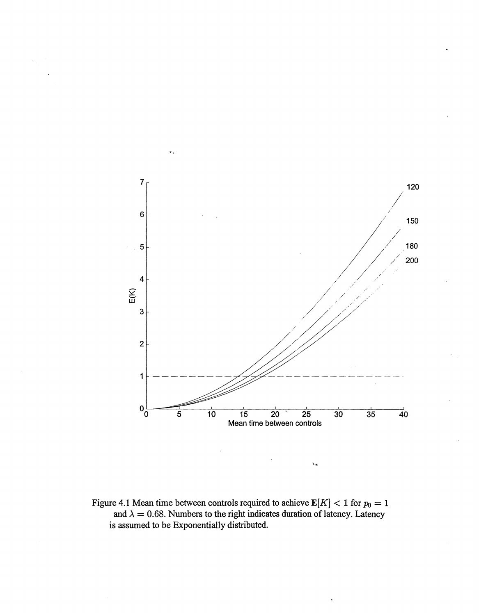

 $\epsilon_{\rm m}$ 

Figure 4.1 Mean time between controls required to achieve  $E[K] < 1$  for  $p_0 = 1$ and  $\lambda = 0.68$ . Numbers to the right indicates duration of latency. Latency is assumed to be Exponentially distributed.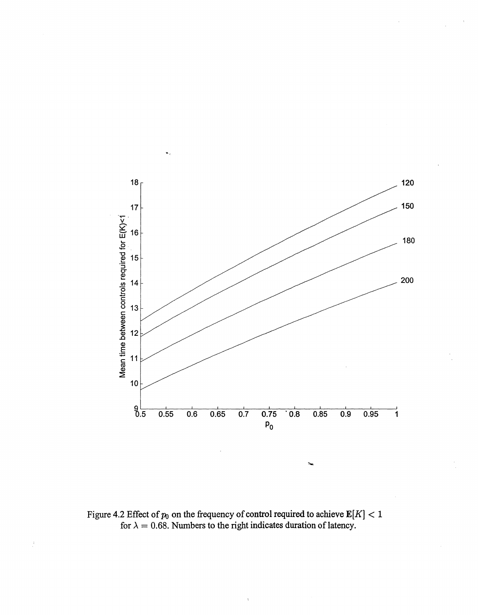

Figure 4.2 Effect of  $p_0$  on the frequency of control required to achieve  $\mathbf{E}[K] < 1$ for  $\lambda = 0.68$ . Numbers to the right indicates duration of latency.

 $\cdot$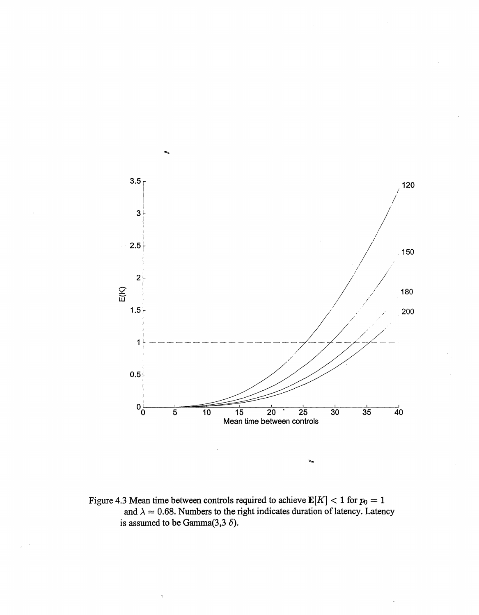

÷.

Figure 4.3 Mean time between controls required to achieve  $E[K] < 1$  for  $p_0 = 1$ and  $\lambda = 0.68$ . Numbers to the right indicates duration of latency. Latency is assumed to be Gamma $(3,3,6)$ .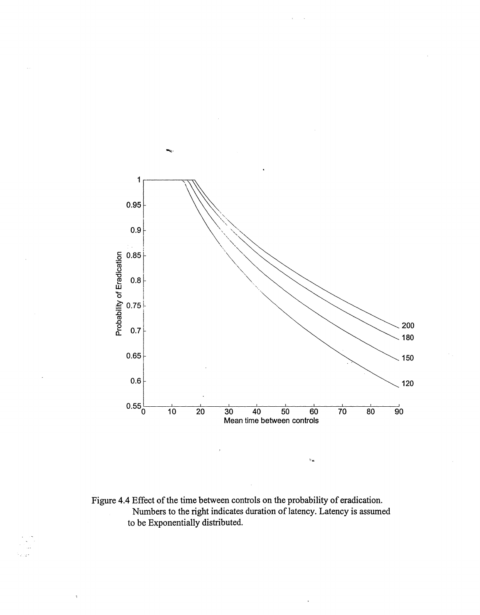

 $\gamma_{\rm in}$ 

Figure 4.4 Effect of the time between controls on the probability of eradication. Numbers to the right indicates duration of latency. Latency is assumed to be Exponentially distributed.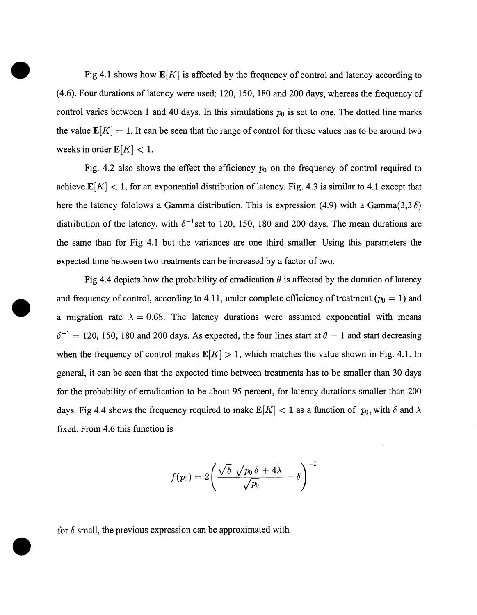Fig 4.1 shows how  $\mathbf{E}[K]$  is affected by the frequency of control and latency according to  $(4.6)$ . Four durations of latency were used: 120, 150, 180 and 200 days, whereas the frequency of control varies between 1 and 40 days. In this simulations  $p_0$  is set to one. The dotted line marks the value  $\mathbf{E}[K] = 1$ . It can be seen that the range of control for these values has to be around two weeks in order  $\mathbf{E}[K] < 1$ .

•

•

•

Fig. 4.2 also shows the effect the efficiency  $p_0$  on the frequency of control required to achieve  $\mathbf{E}[K] < 1$ , for an exponential distribution of latency. Fig. 4.3 is similar to 4.1 except that here the latency fololows a Gamma distribution. This is expression (4.9) with a Gamma $(3,3,6)$ distribution of the latency, with  $\delta^{-1}$ set to 120, 150, 180 and 200 days. The mean durations are the same than for Fig 4.1 but the variances are one third smaller. Using this parameters the expected time between two treatments can be increased by a factor of two.

Fig 4.4 depicts how the probability of erradication  $\theta$  is affected by the duration of latency and frequency of control, according to 4.11, under complete efficiency of treatment  $(p_0 = 1)$  and a migration rate  $\lambda = 0.68$ . The latency durations were assumed exponential with means  $\delta^{-1} = 120, 150, 180$  and 200 days. As expected, the four lines start at  $\theta = 1$  and start decreasing when the frequency of control makes  $E[K] > 1$ , which matches the value shown in Fig. 4.1. In general, it can be seen that the expected time between treatments has to be smaller than 30 days for the probability of erradication to be about 95 percent, for latency durations smaller than 200 days. Fig 4.4 shows the frequency required to make  $\mathbb{E}[K] < 1$  as a function of  $p_0$ , with  $\delta$  and  $\lambda$ fixed. From 4.6 this function is

$$
f(p_0)=2\Bigg(\frac{\sqrt{\delta}\,\sqrt{p_0\,\delta+4\lambda}}{\sqrt{p_0}}-\delta\Bigg)^{-1}
$$

for  $\delta$  small, the previous expression can be approximated with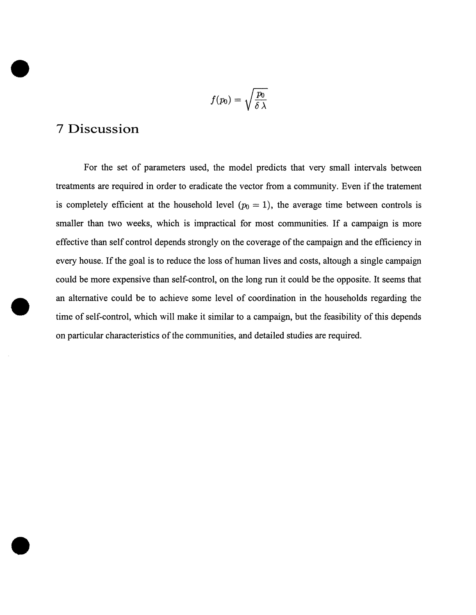$$
f(p_0)=\sqrt{\frac{p_0}{\delta\,\lambda}}
$$

## **7 Discussion**

•

•

•

For the set of parameters used, the model predicts that very small intervals between treatments are required in order to eradicate the vector from a community. Even if the tratement is completely efficient at the household level  $(p_0 = 1)$ , the average time between controls is smaller than two weeks, which is impractical for most communities. If a campaign is more effective than self control depends strongly on the coverage of the campaign and the efficiency in every house. If the goal is to reduce the loss of human lives and costs, altough a single campaign could be more expensive than self-control, on the long run it could be the opposite. It seems that an alternative could be to achieve some level of coordination in the households regarding the time of self-control, which will make it similar to a campaign, but the feasibility of this depends on particular characteristics of the communities, and detailed studies are required .